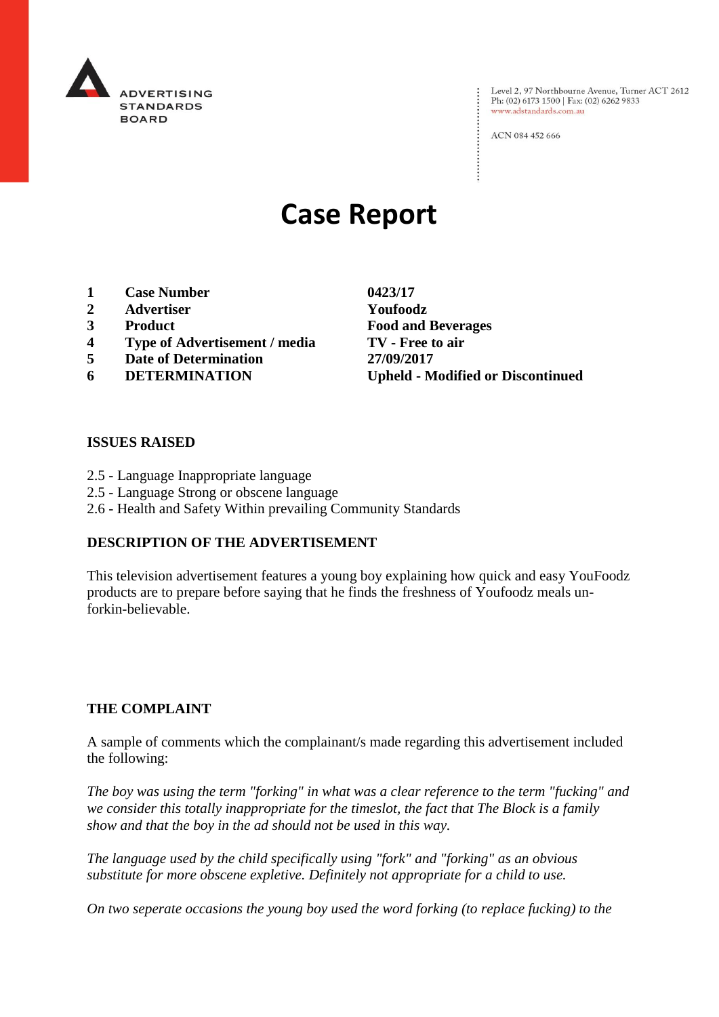

Level 2, 97 Northbourne Avenue, Turner ACT 2612 Ph: (02) 6173 1500 | Fax: (02) 6262 9833 www.adstandards.com.au

ACN 084 452 666

# **Case Report**

- **1 Case Number 0423/17**
- **2 Advertiser Youfoodz**
- 
- **4 Type of Advertisement / media TV - Free to air**
- **5 Date of Determination 27/09/2017**
- 

**3 Product Food and Beverages 6 DETERMINATION Upheld - Modified or Discontinued**

 $\vdots$ 

#### **ISSUES RAISED**

- 2.5 Language Inappropriate language
- 2.5 Language Strong or obscene language
- 2.6 Health and Safety Within prevailing Community Standards

#### **DESCRIPTION OF THE ADVERTISEMENT**

This television advertisement features a young boy explaining how quick and easy YouFoodz products are to prepare before saying that he finds the freshness of Youfoodz meals unforkin-believable.

#### **THE COMPLAINT**

A sample of comments which the complainant/s made regarding this advertisement included the following:

*The boy was using the term "forking" in what was a clear reference to the term "fucking" and we consider this totally inappropriate for the timeslot, the fact that The Block is a family show and that the boy in the ad should not be used in this way.*

*The language used by the child specifically using "fork" and "forking" as an obvious substitute for more obscene expletive. Definitely not appropriate for a child to use.*

*On two seperate occasions the young boy used the word forking (to replace fucking) to the*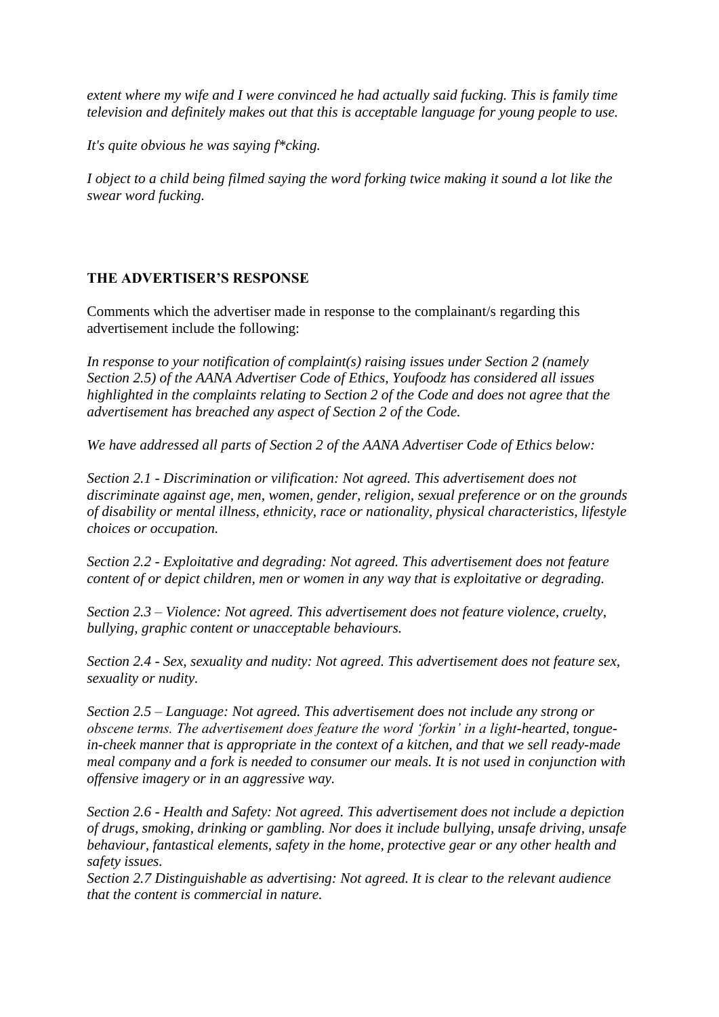*extent where my wife and I were convinced he had actually said fucking. This is family time television and definitely makes out that this is acceptable language for young people to use.*

*It's quite obvious he was saying f\*cking.*

*I object to a child being filmed saying the word forking twice making it sound a lot like the swear word fucking.*

### **THE ADVERTISER'S RESPONSE**

Comments which the advertiser made in response to the complainant/s regarding this advertisement include the following:

*In response to your notification of complaint(s) raising issues under Section 2 (namely Section 2.5) of the AANA Advertiser Code of Ethics, Youfoodz has considered all issues highlighted in the complaints relating to Section 2 of the Code and does not agree that the advertisement has breached any aspect of Section 2 of the Code.*

*We have addressed all parts of Section 2 of the AANA Advertiser Code of Ethics below:*

*Section 2.1 - Discrimination or vilification: Not agreed. This advertisement does not discriminate against age, men, women, gender, religion, sexual preference or on the grounds of disability or mental illness, ethnicity, race or nationality, physical characteristics, lifestyle choices or occupation.*

*Section 2.2 - Exploitative and degrading: Not agreed. This advertisement does not feature content of or depict children, men or women in any way that is exploitative or degrading.*

*Section 2.3 – Violence: Not agreed. This advertisement does not feature violence, cruelty, bullying, graphic content or unacceptable behaviours.*

*Section 2.4 - Sex, sexuality and nudity: Not agreed. This advertisement does not feature sex, sexuality or nudity.*

*Section 2.5 – Language: Not agreed. This advertisement does not include any strong or obscene terms. The advertisement does feature the word 'forkin' in a light-hearted, tonguein-cheek manner that is appropriate in the context of a kitchen, and that we sell ready-made meal company and a fork is needed to consumer our meals. It is not used in conjunction with offensive imagery or in an aggressive way.*

*Section 2.6 - Health and Safety: Not agreed. This advertisement does not include a depiction of drugs, smoking, drinking or gambling. Nor does it include bullying, unsafe driving, unsafe behaviour, fantastical elements, safety in the home, protective gear or any other health and safety issues.*

*Section 2.7 Distinguishable as advertising: Not agreed. It is clear to the relevant audience that the content is commercial in nature.*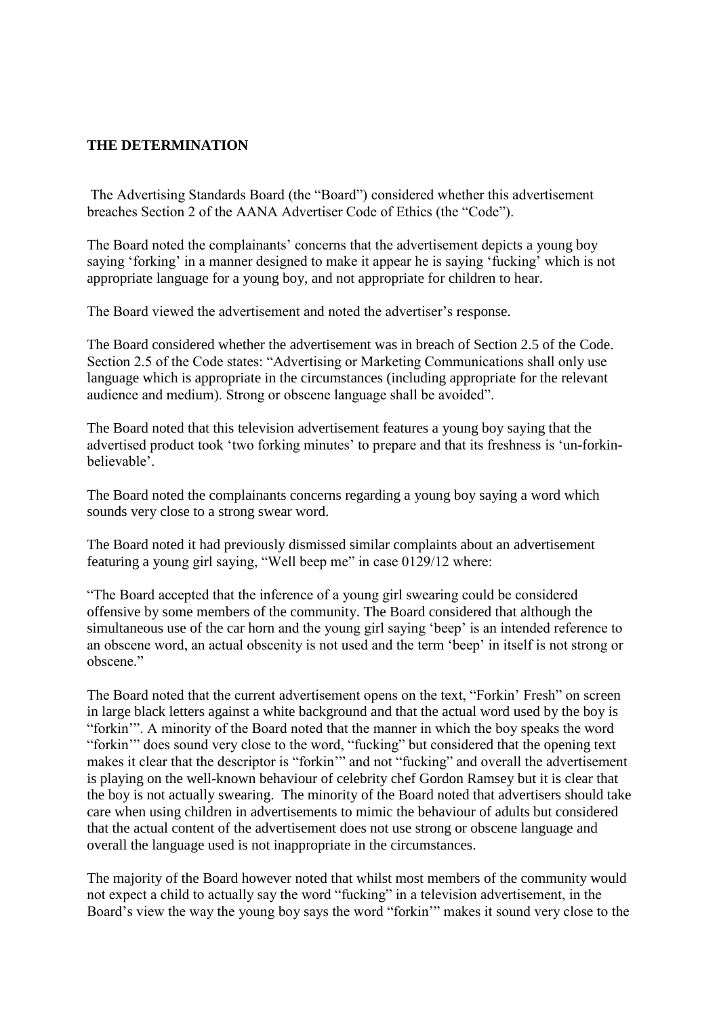#### **THE DETERMINATION**

The Advertising Standards Board (the "Board") considered whether this advertisement breaches Section 2 of the AANA Advertiser Code of Ethics (the "Code").

The Board noted the complainants' concerns that the advertisement depicts a young boy saying 'forking' in a manner designed to make it appear he is saying 'fucking' which is not appropriate language for a young boy, and not appropriate for children to hear.

The Board viewed the advertisement and noted the advertiser's response.

The Board considered whether the advertisement was in breach of Section 2.5 of the Code. Section 2.5 of the Code states: "Advertising or Marketing Communications shall only use language which is appropriate in the circumstances (including appropriate for the relevant audience and medium). Strong or obscene language shall be avoided".

The Board noted that this television advertisement features a young boy saying that the advertised product took 'two forking minutes' to prepare and that its freshness is 'un-forkinbelievable'.

The Board noted the complainants concerns regarding a young boy saying a word which sounds very close to a strong swear word.

The Board noted it had previously dismissed similar complaints about an advertisement featuring a young girl saying, "Well beep me" in case 0129/12 where:

"The Board accepted that the inference of a young girl swearing could be considered offensive by some members of the community. The Board considered that although the simultaneous use of the car horn and the young girl saying 'beep' is an intended reference to an obscene word, an actual obscenity is not used and the term 'beep' in itself is not strong or obscene."

The Board noted that the current advertisement opens on the text, "Forkin' Fresh" on screen in large black letters against a white background and that the actual word used by the boy is "forkin'". A minority of the Board noted that the manner in which the boy speaks the word "forkin'" does sound very close to the word, "fucking" but considered that the opening text makes it clear that the descriptor is "forkin'" and not "fucking" and overall the advertisement is playing on the well-known behaviour of celebrity chef Gordon Ramsey but it is clear that the boy is not actually swearing. The minority of the Board noted that advertisers should take care when using children in advertisements to mimic the behaviour of adults but considered that the actual content of the advertisement does not use strong or obscene language and overall the language used is not inappropriate in the circumstances.

The majority of the Board however noted that whilst most members of the community would not expect a child to actually say the word "fucking" in a television advertisement, in the Board's view the way the young boy says the word "forkin'" makes it sound very close to the